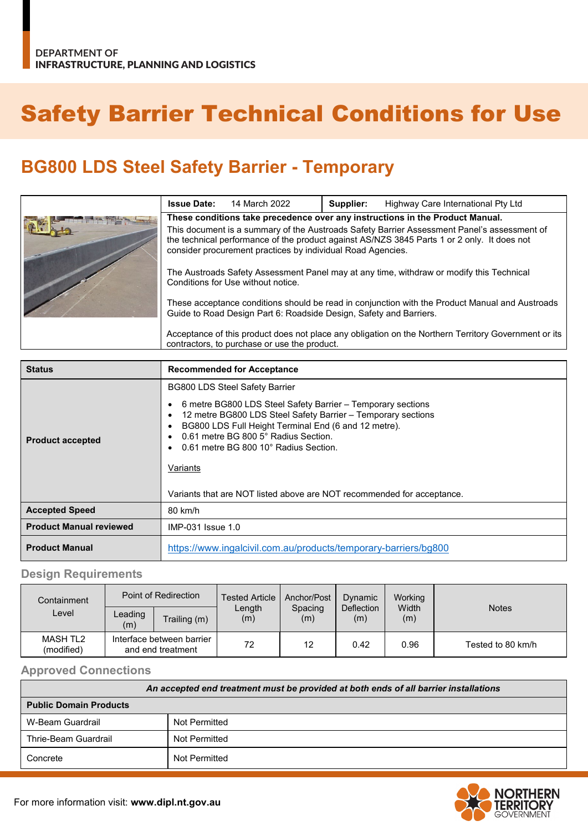# Safety Barrier Technical Conditions for Use

## **BG800 LDS Steel Safety Barrier - Temporary**

| <b>Issue Date:</b>                                                                                                                                                                                                                                        | 14 March 2022 | Supplier: | Highway Care International Pty Ltd |
|-----------------------------------------------------------------------------------------------------------------------------------------------------------------------------------------------------------------------------------------------------------|---------------|-----------|------------------------------------|
| These conditions take precedence over any instructions in the Product Manual.                                                                                                                                                                             |               |           |                                    |
| This document is a summary of the Austroads Safety Barrier Assessment Panel's assessment of<br>the technical performance of the product against AS/NZS 3845 Parts 1 or 2 only. It does not<br>consider procurement practices by individual Road Agencies. |               |           |                                    |
| The Austroads Safety Assessment Panel may at any time, withdraw or modify this Technical<br>Conditions for Use without notice.                                                                                                                            |               |           |                                    |
| These acceptance conditions should be read in conjunction with the Product Manual and Austroads<br>Guide to Road Design Part 6: Roadside Design, Safety and Barriers.                                                                                     |               |           |                                    |
| Acceptance of this product does not place any obligation on the Northern Territory Government or its<br>contractors, to purchase or use the product.                                                                                                      |               |           |                                    |

| <b>Status</b>                  | <b>Recommended for Acceptance</b>                                                                                                                                                                                                                                                                                                                                                                   |
|--------------------------------|-----------------------------------------------------------------------------------------------------------------------------------------------------------------------------------------------------------------------------------------------------------------------------------------------------------------------------------------------------------------------------------------------------|
| <b>Product accepted</b>        | <b>BG800 LDS Steel Safety Barrier</b><br>6 metre BG800 LDS Steel Safety Barrier - Temporary sections<br>12 metre BG800 LDS Steel Safety Barrier - Temporary sections<br>BG800 LDS Full Height Terminal End (6 and 12 metre).<br>0.61 metre BG 800 5° Radius Section.<br>0.61 metre BG 800 10° Radius Section.<br>Variants<br>Variants that are NOT listed above are NOT recommended for acceptance. |
| <b>Accepted Speed</b>          | 80 km/h                                                                                                                                                                                                                                                                                                                                                                                             |
| <b>Product Manual reviewed</b> | IMP-031 Issue 1.0                                                                                                                                                                                                                                                                                                                                                                                   |
| <b>Product Manual</b>          | https://www.ingalcivil.com.au/products/temporary-barriers/bg800                                                                                                                                                                                                                                                                                                                                     |

#### **Design Requirements**

| Containment            | Point of Redirection                           |              | <b>Tested Article</b> | Anchor/Post    | Dynamic                  | Working      |                   |
|------------------------|------------------------------------------------|--------------|-----------------------|----------------|--------------------------|--------------|-------------------|
| Level                  | Leading<br>(m)                                 | Trailing (m) | Length<br>(m)         | Spacing<br>(m) | <b>Deflection</b><br>(m) | Width<br>(m) | <b>Notes</b>      |
| MASH TL2<br>(modified) | Interface between barrier<br>and end treatment |              | 72                    | 12             | 0.42                     | 0.96         | Tested to 80 km/h |

#### **Approved Connections**

| An accepted end treatment must be provided at both ends of all barrier installations |               |  |  |
|--------------------------------------------------------------------------------------|---------------|--|--|
| <b>Public Domain Products</b>                                                        |               |  |  |
| W-Beam Guardrail                                                                     | Not Permitted |  |  |
| Thrie-Beam Guardrail                                                                 | Not Permitted |  |  |
| Concrete                                                                             | Not Permitted |  |  |

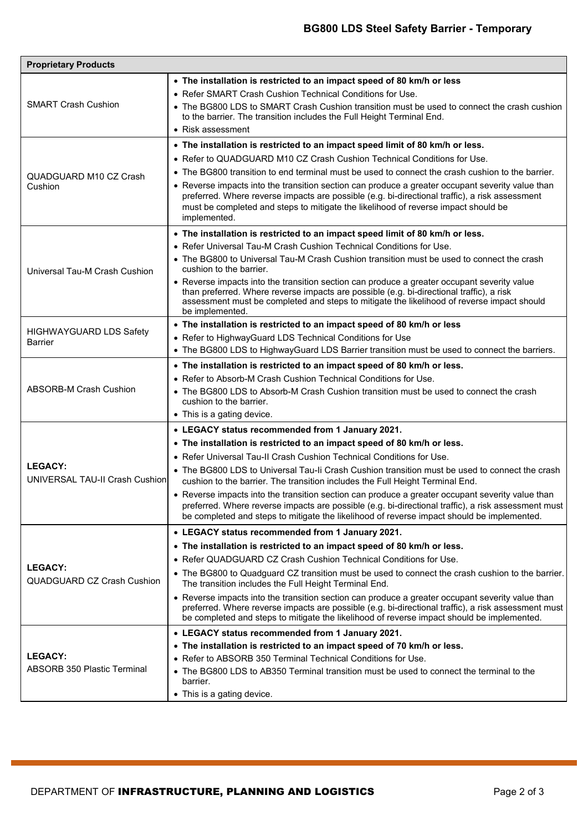| <b>Proprietary Products</b>                          |                                                                                                                                                                                                                                                                                                                                                                                                                                                                                                                                                                                                                                                                                                 |  |  |  |
|------------------------------------------------------|-------------------------------------------------------------------------------------------------------------------------------------------------------------------------------------------------------------------------------------------------------------------------------------------------------------------------------------------------------------------------------------------------------------------------------------------------------------------------------------------------------------------------------------------------------------------------------------------------------------------------------------------------------------------------------------------------|--|--|--|
| <b>SMART Crash Cushion</b>                           | • The installation is restricted to an impact speed of 80 km/h or less<br>• Refer SMART Crash Cushion Technical Conditions for Use.<br>• The BG800 LDS to SMART Crash Cushion transition must be used to connect the crash cushion<br>to the barrier. The transition includes the Full Height Terminal End.<br>• Risk assessment                                                                                                                                                                                                                                                                                                                                                                |  |  |  |
| QUADGUARD M10 CZ Crash<br>Cushion                    | • The installation is restricted to an impact speed limit of 80 km/h or less.<br>• Refer to QUADGUARD M10 CZ Crash Cushion Technical Conditions for Use.<br>• The BG800 transition to end terminal must be used to connect the crash cushion to the barrier.<br>• Reverse impacts into the transition section can produce a greater occupant severity value than<br>preferred. Where reverse impacts are possible (e.g. bi-directional traffic), a risk assessment<br>must be completed and steps to mitigate the likelihood of reverse impact should be<br>implemented.                                                                                                                        |  |  |  |
| Universal Tau-M Crash Cushion                        | • The installation is restricted to an impact speed limit of 80 km/h or less.<br>. Refer Universal Tau-M Crash Cushion Technical Conditions for Use.<br>• The BG800 to Universal Tau-M Crash Cushion transition must be used to connect the crash<br>cushion to the barrier.<br>• Reverse impacts into the transition section can produce a greater occupant severity value<br>than preferred. Where reverse impacts are possible (e.g. bi-directional traffic), a risk<br>assessment must be completed and steps to mitigate the likelihood of reverse impact should<br>be implemented.                                                                                                        |  |  |  |
| <b>HIGHWAYGUARD LDS Safety</b><br>Barrier            | • The installation is restricted to an impact speed of 80 km/h or less<br>• Refer to HighwayGuard LDS Technical Conditions for Use<br>• The BG800 LDS to HighwayGuard LDS Barrier transition must be used to connect the barriers.                                                                                                                                                                                                                                                                                                                                                                                                                                                              |  |  |  |
| <b>ABSORB-M Crash Cushion</b>                        | • The installation is restricted to an impact speed of 80 km/h or less.<br>• Refer to Absorb-M Crash Cushion Technical Conditions for Use.<br>• The BG800 LDS to Absorb-M Crash Cushion transition must be used to connect the crash<br>cushion to the barrier.<br>• This is a gating device.                                                                                                                                                                                                                                                                                                                                                                                                   |  |  |  |
| <b>LEGACY:</b><br>UNIVERSAL TAU-II Crash Cushion     | • LEGACY status recommended from 1 January 2021.<br>• The installation is restricted to an impact speed of 80 km/h or less.<br>• Refer Universal Tau-II Crash Cushion Technical Conditions for Use.<br>• The BG800 LDS to Universal Tau-li Crash Cushion transition must be used to connect the crash<br>cushion to the barrier. The transition includes the Full Height Terminal End.<br>• Reverse impacts into the transition section can produce a greater occupant severity value than<br>preferred. Where reverse impacts are possible (e.g. bi-directional traffic), a risk assessment must<br>be completed and steps to mitigate the likelihood of reverse impact should be implemented. |  |  |  |
| <b>LEGACY:</b><br><b>QUADGUARD CZ Crash Cushion</b>  | • LEGACY status recommended from 1 January 2021.<br>• The installation is restricted to an impact speed of 80 km/h or less.<br>• Refer QUADGUARD CZ Crash Cushion Technical Conditions for Use.<br>• The BG800 to Quadguard CZ transition must be used to connect the crash cushion to the barrier.<br>The transition includes the Full Height Terminal End.<br>• Reverse impacts into the transition section can produce a greater occupant severity value than<br>preferred. Where reverse impacts are possible (e.g. bi-directional traffic), a risk assessment must<br>be completed and steps to mitigate the likelihood of reverse impact should be implemented.                           |  |  |  |
| <b>LEGACY:</b><br><b>ABSORB 350 Plastic Terminal</b> | • LEGACY status recommended from 1 January 2021.<br>• The installation is restricted to an impact speed of 70 km/h or less.<br>• Refer to ABSORB 350 Terminal Technical Conditions for Use.<br>• The BG800 LDS to AB350 Terminal transition must be used to connect the terminal to the<br>barrier.<br>• This is a gating device.                                                                                                                                                                                                                                                                                                                                                               |  |  |  |